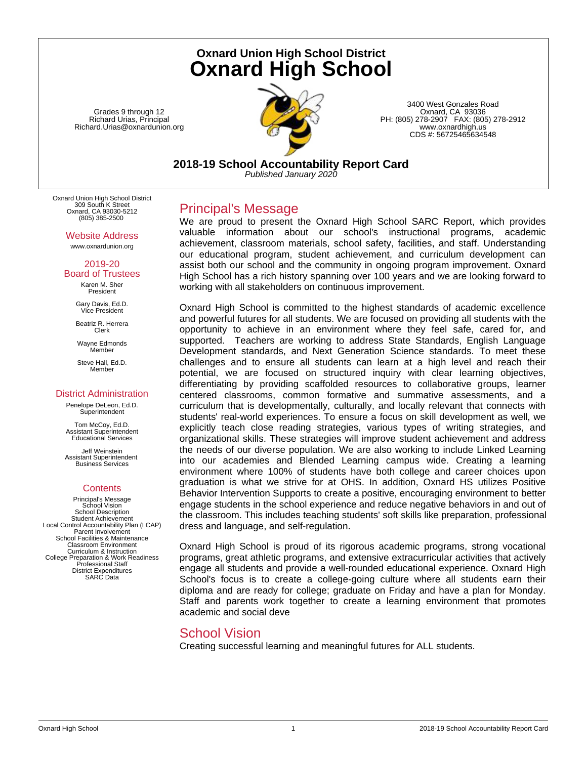Grades 9 through 12 Richard Urias, Principal Richard.Urias@oxnardunion.org

# **Oxnard Union High School District Oxnard High School**



3400 West Gonzales Road Oxnard, CA 93036 PH: (805) 278-2907 FAX: (805) 278-2912 www.oxnardhigh.us CDS #: 56725465634548

**2018-19 School Accountability Report Card**

*Published January 2020*

Oxnard Union High School District 309 South K Street Oxnard, CA 93030-5212 (805) 385-2500

Website Address

www.oxnardunion.org

2019-20 Board of Trustees Karen M. Sher

President Gary Davis, Ed.D. Vice President

Beatriz R. Herrera Clerk

Wayne Edmonds Member

Steve Hall, Ed.D. **Member** 

#### District Administration

Penelope DeLeon, Ed.D. Superintendent

Tom McCoy, Ed.D. Assistant Superintendent Educational Services

Jeff Weinstein Assistant Superintendent Business Services

### **Contents**

Principal's Message School Vision School Description Student Achievement Local Control Accountability Plan (LCAP) Parent Involvement School Facilities & Maintenance Classroom Environment Curriculum & Instruction College Preparation & Work Readiness Professional Staff District Expenditures SARC Data

### Principal's Message

We are proud to present the Oxnard High School SARC Report, which provides valuable information about our school's instructional programs, academic achievement, classroom materials, school safety, facilities, and staff. Understanding our educational program, student achievement, and curriculum development can assist both our school and the community in ongoing program improvement. Oxnard High School has a rich history spanning over 100 years and we are looking forward to working with all stakeholders on continuous improvement.

Oxnard High School is committed to the highest standards of academic excellence and powerful futures for all students. We are focused on providing all students with the opportunity to achieve in an environment where they feel safe, cared for, and supported. Teachers are working to address State Standards, English Language Development standards, and Next Generation Science standards. To meet these challenges and to ensure all students can learn at a high level and reach their potential, we are focused on structured inquiry with clear learning objectives, differentiating by providing scaffolded resources to collaborative groups, learner centered classrooms, common formative and summative assessments, and a curriculum that is developmentally, culturally, and locally relevant that connects with students' real-world experiences. To ensure a focus on skill development as well, we explicitly teach close reading strategies, various types of writing strategies, and organizational skills. These strategies will improve student achievement and address the needs of our diverse population. We are also working to include Linked Learning into our academies and Blended Learning campus wide. Creating a learning environment where 100% of students have both college and career choices upon graduation is what we strive for at OHS. In addition, Oxnard HS utilizes Positive Behavior Intervention Supports to create a positive, encouraging environment to better engage students in the school experience and reduce negative behaviors in and out of the classroom. This includes teaching students' soft skills like preparation, professional dress and language, and self-regulation.

Oxnard High School is proud of its rigorous academic programs, strong vocational programs, great athletic programs, and extensive extracurricular activities that actively engage all students and provide a well-rounded educational experience. Oxnard High School's focus is to create a college-going culture where all students earn their diploma and are ready for college; graduate on Friday and have a plan for Monday. Staff and parents work together to create a learning environment that promotes academic and social deve

### School Vision

Creating successful learning and meaningful futures for ALL students.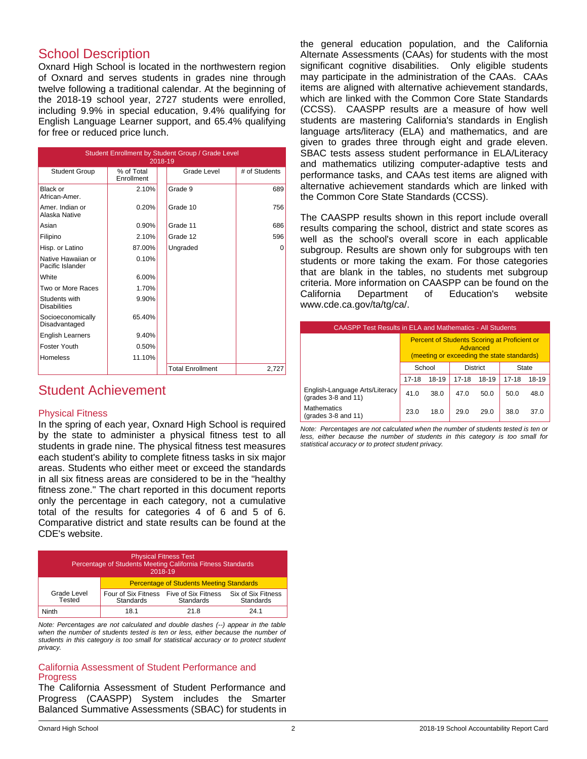### School Description

Oxnard High School is located in the northwestern region of Oxnard and serves students in grades nine through twelve following a traditional calendar. At the beginning of the 2018-19 school year, 2727 students were enrolled, including 9.9% in special education, 9.4% qualifying for English Language Learner support, and 65.4% qualifying for free or reduced price lunch.

| Student Enrollment by Student Group / Grade Level<br>2018-19 |                          |  |                         |               |  |
|--------------------------------------------------------------|--------------------------|--|-------------------------|---------------|--|
| <b>Student Group</b>                                         | % of Total<br>Enrollment |  | Grade Level             | # of Students |  |
| Black or<br>African-Amer.                                    | 2.10%                    |  | Grade 9                 | 689           |  |
| Amer. Indian or<br>Alaska Native                             | 0.20%                    |  | Grade 10                | 756           |  |
| Asian                                                        | 0.90%                    |  | Grade 11                | 686           |  |
| Filipino                                                     | 2.10%                    |  | Grade 12                | 596           |  |
| Hisp. or Latino                                              | 87.00%                   |  | Ungraded                | $\Omega$      |  |
| Native Hawaiian or<br>Pacific Islander                       | 0.10%                    |  |                         |               |  |
| White                                                        | 6.00%                    |  |                         |               |  |
| Two or More Races                                            | 1.70%                    |  |                         |               |  |
| Students with<br><b>Disabilities</b>                         | 9.90%                    |  |                         |               |  |
| Socioeconomically<br>Disadvantaged                           | 65.40%                   |  |                         |               |  |
| <b>English Learners</b>                                      | 9.40%                    |  |                         |               |  |
| Foster Youth                                                 | 0.50%                    |  |                         |               |  |
| Homeless                                                     | 11.10%                   |  |                         |               |  |
|                                                              |                          |  | <b>Total Enrollment</b> | 2,727         |  |

### Student Achievement

#### Physical Fitness

In the spring of each year, Oxnard High School is required by the state to administer a physical fitness test to all students in grade nine. The physical fitness test measures each student's ability to complete fitness tasks in six major areas. Students who either meet or exceed the standards in all six fitness areas are considered to be in the "healthy fitness zone." The chart reported in this document reports only the percentage in each category, not a cumulative total of the results for categories 4 of 6 and 5 of 6. Comparative district and state results can be found at the CDE's website.

| <b>Physical Fitness Test</b><br>Percentage of Students Meeting California Fitness Standards<br>2018-19 |                                                      |           |                                 |  |
|--------------------------------------------------------------------------------------------------------|------------------------------------------------------|-----------|---------------------------------|--|
|                                                                                                        | <b>Percentage of Students Meeting Standards</b>      |           |                                 |  |
| Grade Level<br>Tested                                                                                  | Four of Six Fitness Five of Six Fitness<br>Standards | Standards | Six of Six Fitness<br>Standards |  |
| Ninth                                                                                                  | 18.1                                                 | 21.8      | 24 1                            |  |

*Note: Percentages are not calculated and double dashes (--) appear in the table when the number of students tested is ten or less, either because the number of students in this category is too small for statistical accuracy or to protect student privacy.*

### California Assessment of Student Performance and Progress

The California Assessment of Student Performance and Progress (CAASPP) System includes the Smarter Balanced Summative Assessments (SBAC) for students in the general education population, and the California Alternate Assessments (CAAs) for students with the most significant cognitive disabilities. Only eligible students may participate in the administration of the CAAs. CAAs items are aligned with alternative achievement standards, which are linked with the Common Core State Standards (CCSS). CAASPP results are a measure of how well students are mastering California's standards in English language arts/literacy (ELA) and mathematics, and are given to grades three through eight and grade eleven. SBAC tests assess student performance in ELA/Literacy and mathematics utilizing computer-adaptive tests and performance tasks, and CAAs test items are aligned with alternative achievement standards which are linked with the Common Core State Standards (CCSS).

The CAASPP results shown in this report include overall results comparing the school, district and state scores as well as the school's overall score in each applicable subgroup. Results are shown only for subgroups with ten students or more taking the exam. For those categories that are blank in the tables, no students met subgroup criteria. More information on CAASPP can be found on the California Department of Education's website www.cde.ca.gov/ta/tg/ca/.

| <b>CAASPP Test Results in ELA and Mathematics - All Students</b> |                                                                                                               |      |      |      |      |       |  |
|------------------------------------------------------------------|---------------------------------------------------------------------------------------------------------------|------|------|------|------|-------|--|
|                                                                  | <b>Percent of Students Scoring at Proficient or</b><br>Advanced<br>(meeting or exceeding the state standards) |      |      |      |      |       |  |
|                                                                  | School<br><b>District</b><br><b>State</b>                                                                     |      |      |      |      |       |  |
|                                                                  | 18-19<br>$17 - 18$<br>$17 - 18$<br>18-19<br>$17 - 18$                                                         |      |      |      |      | 18-19 |  |
| English-Language Arts/Literacy<br>(grades 3-8 and 11)            | 41.0                                                                                                          | 38.0 | 47.0 | 50.0 | 50.0 | 48.0  |  |
| <b>Mathematics</b><br>(grades 3-8 and 11)                        | 23.0                                                                                                          | 18.0 | 29.0 | 29.0 | 38.0 | 37.0  |  |

*Note: Percentages are not calculated when the number of students tested is ten or less, either because the number of students in this category is too small for statistical accuracy or to protect student privacy.*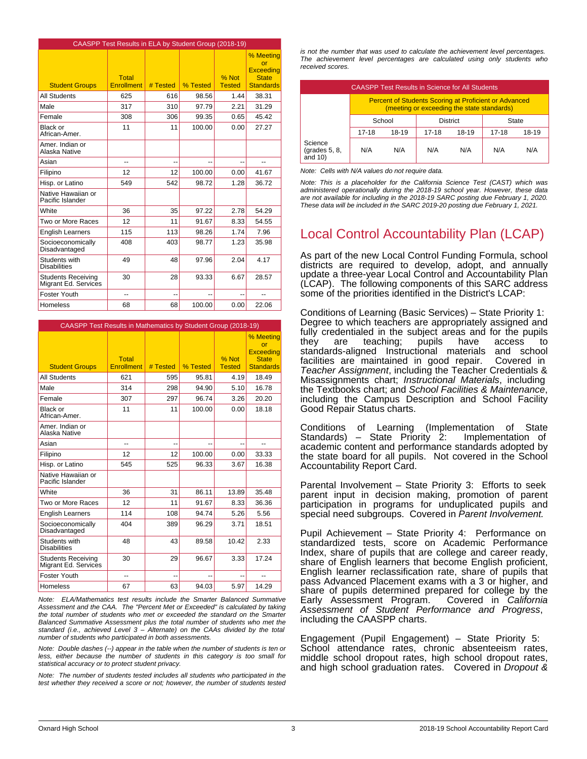|                                                   | CAASPP Test Results in ELA by Student Group (2018-19) |          |          |                        |                                                                         |
|---------------------------------------------------|-------------------------------------------------------|----------|----------|------------------------|-------------------------------------------------------------------------|
| <b>Student Groups</b>                             | <b>Total</b><br><b>Enrollment</b>                     | # Tested | % Tested | % Not<br><b>Tested</b> | % Meeting<br>or<br><b>Exceeding</b><br><b>State</b><br><b>Standards</b> |
| <b>All Students</b>                               | 625                                                   | 616      | 98.56    | 1.44                   | 38.31                                                                   |
| Male                                              | 317                                                   | 310      | 97.79    | 2.21                   | 31.29                                                                   |
| Female                                            | 308                                                   | 306      | 99.35    | 0.65                   | 45.42                                                                   |
| Black or<br>African-Amer.                         | 11                                                    | 11       | 100.00   | 0.00                   | 27.27                                                                   |
| Amer, Indian or<br>Alaska Native                  |                                                       |          |          |                        |                                                                         |
| Asian                                             | $\overline{a}$                                        | --       |          | ۵.                     | --                                                                      |
| Filipino                                          | 12                                                    | 12       | 100.00   | 0.00                   | 41.67                                                                   |
| Hisp. or Latino                                   | 549                                                   | 542      | 98.72    | 1.28                   | 36.72                                                                   |
| Native Hawaiian or<br>Pacific Islander            |                                                       |          |          |                        |                                                                         |
| White                                             | 36                                                    | 35       | 97.22    | 2.78                   | 54.29                                                                   |
| Two or More Races                                 | 12                                                    | 11       | 91.67    | 8.33                   | 54.55                                                                   |
| <b>English Learners</b>                           | 115                                                   | 113      | 98.26    | 1.74                   | 7.96                                                                    |
| Socioeconomically<br>Disadvantaged                | 408                                                   | 403      | 98.77    | 1.23                   | 35.98                                                                   |
| Students with<br><b>Disabilities</b>              | 49                                                    | 48       | 97.96    | 2.04                   | 4.17                                                                    |
| <b>Students Receiving</b><br>Migrant Ed. Services | 30                                                    | 28       | 93.33    | 6.67                   | 28.57                                                                   |
| Foster Youth                                      | $\overline{a}$                                        | --       | --       | --                     | $\overline{a}$                                                          |
| Homeless                                          | 68                                                    | 68       | 100.00   | 0.00                   | 22.06                                                                   |

|                                                   | <b>CAASPP Test Results in Mathematics by Student Group (2018-19)</b> |          |          |                        |                                                                         |  |  |
|---------------------------------------------------|----------------------------------------------------------------------|----------|----------|------------------------|-------------------------------------------------------------------------|--|--|
| <b>Student Groups</b>                             | Total<br><b>Enrollment</b>                                           | # Tested | % Tested | % Not<br><b>Tested</b> | % Meeting<br>or<br><b>Exceeding</b><br><b>State</b><br><b>Standards</b> |  |  |
| <b>All Students</b>                               | 621                                                                  | 595      | 95.81    | 4.19                   | 18.49                                                                   |  |  |
| Male                                              | 314                                                                  | 298      | 94.90    | 5.10                   | 16.78                                                                   |  |  |
| Female                                            | 307                                                                  | 297      | 96.74    | 3.26                   | 20.20                                                                   |  |  |
| Black or<br>African-Amer.                         | 11                                                                   | 11       | 100.00   | 0.00                   | 18.18                                                                   |  |  |
| Amer. Indian or<br>Alaska Native                  |                                                                      |          |          |                        |                                                                         |  |  |
| Asian                                             | --                                                                   | --       | --       | --                     | --                                                                      |  |  |
| Filipino                                          | 12                                                                   | 12       | 100.00   | 0.00                   | 33.33                                                                   |  |  |
| Hisp. or Latino                                   | 545                                                                  | 525      | 96.33    | 3.67                   | 16.38                                                                   |  |  |
| Native Hawaiian or<br>Pacific Islander            |                                                                      |          |          |                        |                                                                         |  |  |
| White                                             | 36                                                                   | 31       | 86.11    | 13.89                  | 35.48                                                                   |  |  |
| Two or More Races                                 | 12                                                                   | 11       | 91.67    | 8.33                   | 36.36                                                                   |  |  |
| <b>English Learners</b>                           | 114                                                                  | 108      | 94.74    | 5.26                   | 5.56                                                                    |  |  |
| Socioeconomically<br>Disadvantaged                | 404                                                                  | 389      | 96.29    | 3.71                   | 18.51                                                                   |  |  |
| Students with<br><b>Disabilities</b>              | 48                                                                   | 43       | 89.58    | 10.42                  | 2.33                                                                    |  |  |
| <b>Students Receiving</b><br>Migrant Ed. Services | 30                                                                   | 29       | 96.67    | 3.33                   | 17.24                                                                   |  |  |
| Foster Youth                                      | $\overline{a}$                                                       | ۵.       |          |                        | $-$                                                                     |  |  |
| Homeless                                          | 67                                                                   | 63       | 94.03    | 5.97                   | 14.29                                                                   |  |  |

*Note: ELA/Mathematics test results include the Smarter Balanced Summative Assessment and the CAA. The "Percent Met or Exceeded" is calculated by taking the total number of students who met or exceeded the standard on the Smarter Balanced Summative Assessment plus the total number of students who met the standard (i.e., achieved Level 3 – Alternate) on the CAAs divided by the total number of students who participated in both assessments.*

*Note: Double dashes (--) appear in the table when the number of students is ten or less, either because the number of students in this category is too small for statistical accuracy or to protect student privacy.*

*Note: The number of students tested includes all students who participated in the test whether they received a score or not; however, the number of students tested* *is not the number that was used to calculate the achievement level percentages. The achievement level percentages are calculated using only students who received scores.*

| <b>CAASPP Test Results in Science for All Students</b> |                                                                                                            |       |                                      |     |     |     |
|--------------------------------------------------------|------------------------------------------------------------------------------------------------------------|-------|--------------------------------------|-----|-----|-----|
|                                                        | <b>Percent of Students Scoring at Proficient or Advanced</b><br>(meeting or exceeding the state standards) |       |                                      |     |     |     |
|                                                        | School<br><b>District</b><br>State                                                                         |       |                                      |     |     |     |
|                                                        | 17-18                                                                                                      | 18-19 | $17 - 18$<br>17-18<br>18-19<br>18-19 |     |     |     |
| Science<br>(grades $5, 8$ ,<br>and $10$ )              | N/A                                                                                                        | N/A   | N/A                                  | N/A | N/A | N/A |

*Note: Cells with N/A values do not require data.*

*Note: This is a placeholder for the California Science Test (CAST) which was administered operationally during the 2018-19 school year. However, these data are not available for including in the 2018-19 SARC posting due February 1, 2020. These data will be included in the SARC 2019-20 posting due February 1, 2021.*

## Local Control Accountability Plan (LCAP)

As part of the new Local Control Funding Formula, school districts are required to develop, adopt, and annually update a three-year Local Control and Accountability Plan (LCAP). The following components of this SARC address some of the priorities identified in the District's LCAP:

Conditions of Learning (Basic Services) – State Priority 1: Degree to which teachers are appropriately assigned and fully credentialed in the subject areas and for the pupils<br>they are teaching; pupils have access to they are teaching; pupils have access to standards-aligned Instructional materials and school facilities are maintained in good repair. *Teacher Assignment*, including the Teacher Credentials & Misassignments chart; *Instructional Materials*, including the Textbooks chart; and *School Facilities & Maintenance*, including the Campus Description and School Facility Good Repair Status charts.

Conditions of Learning (Implementation of State Standards) – State Priority  $2$ : academic content and performance standards adopted by the state board for all pupils. Not covered in the School Accountability Report Card.

Parental Involvement – State Priority 3: Efforts to seek parent input in decision making, promotion of parent participation in programs for unduplicated pupils and special need subgroups. Covered in *Parent Involvement.*

Pupil Achievement – State Priority 4: Performance on standardized tests, score on Academic Performance Index, share of pupils that are college and career ready, share of English learners that become English proficient, English learner reclassification rate, share of pupils that pass Advanced Placement exams with a 3 or higher, and share of pupils determined prepared for college by the Early Assessment Program. Covered in California Early Assessment Program. *Assessment of Student Performance and Progress*, including the CAASPP charts.

Engagement (Pupil Engagement) – State Priority 5: School attendance rates, chronic absenteeism rates, middle school dropout rates, high school dropout rates, and high school graduation rates. Covered in *Dropout &*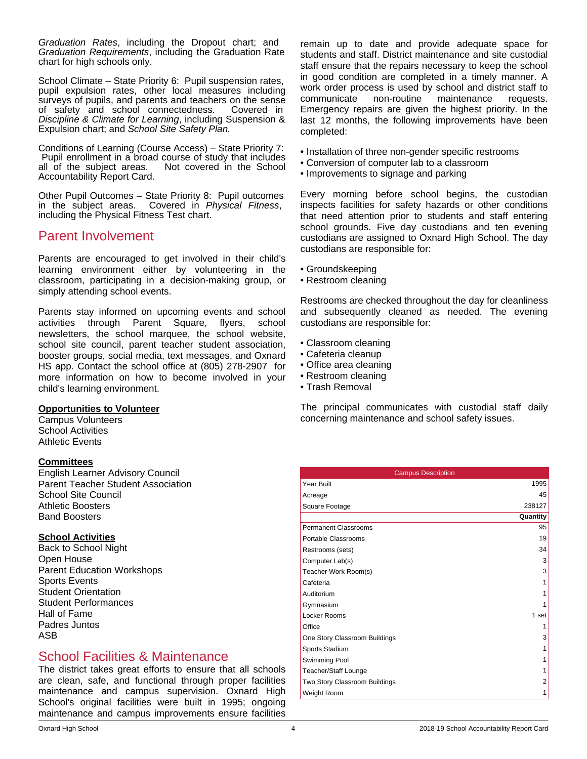*Graduation Rates*, including the Dropout chart; and *Graduation Requirements*, including the Graduation Rate chart for high schools only.

School Climate – State Priority 6: Pupil suspension rates, pupil expulsion rates, other local measures including surveys of pupils, and parents and teachers on the sense of safety and school connectedness. Covered in *Discipline & Climate for Learning*, including Suspension & Expulsion chart; and *School Site Safety Plan.*

Conditions of Learning (Course Access) – State Priority 7: Pupil enrollment in a broad course of study that includes<br>all of the subject areas. Not covered in the School Not covered in the School Accountability Report Card.

Other Pupil Outcomes – State Priority 8: Pupil outcomes in the subject areas. Covered in *Physical Fitness*, including the Physical Fitness Test chart.

### Parent Involvement

Parents are encouraged to get involved in their child's learning environment either by volunteering in the classroom, participating in a decision-making group, or simply attending school events.

Parents stay informed on upcoming events and school activities through Parent Square, flyers, school newsletters, the school marquee, the school website, school site council, parent teacher student association, booster groups, social media, text messages, and Oxnard HS app. Contact the school office at (805) 278-2907 for more information on how to become involved in your child's learning environment.

### **Opportunities to Volunteer**

Campus Volunteers School Activities Athletic Events

#### **Committees**

English Learner Advisory Council Parent Teacher Student Association School Site Council Athletic Boosters Band Boosters

### **School Activities**

Back to School Night Open House Parent Education Workshops Sports Events Student Orientation Student Performances Hall of Fame Padres Juntos ASB

### School Facilities & Maintenance

The district takes great efforts to ensure that all schools are clean, safe, and functional through proper facilities maintenance and campus supervision. Oxnard High School's original facilities were built in 1995; ongoing maintenance and campus improvements ensure facilities

remain up to date and provide adequate space for students and staff. District maintenance and site custodial staff ensure that the repairs necessary to keep the school in good condition are completed in a timely manner. A work order process is used by school and district staff to communicate non-routine maintenance requests. Emergency repairs are given the highest priority. In the last 12 months, the following improvements have been completed:

- Installation of three non-gender specific restrooms
- Conversion of computer lab to a classroom
- Improvements to signage and parking

Every morning before school begins, the custodian inspects facilities for safety hazards or other conditions that need attention prior to students and staff entering school grounds. Five day custodians and ten evening custodians are assigned to Oxnard High School. The day custodians are responsible for:

- Groundskeeping
- Restroom cleaning

Restrooms are checked throughout the day for cleanliness and subsequently cleaned as needed. The evening custodians are responsible for:

- Classroom cleaning
- Cafeteria cleanup
- Office area cleaning
- Restroom cleaning
- Trash Removal

The principal communicates with custodial staff daily concerning maintenance and school safety issues.

| <b>Campus Description</b>     |          |
|-------------------------------|----------|
| Year Built                    | 1995     |
| Acreage                       | 45       |
| Square Footage                | 238127   |
|                               | Quantity |
| Permanent Classrooms          | 95       |
| Portable Classrooms           | 19       |
| Restrooms (sets)              | 34       |
| Computer Lab(s)               | 3        |
| Teacher Work Room(s)          | 3        |
| Cafeteria                     | 1        |
| Auditorium                    | 1        |
| Gymnasium                     |          |
| Locker Rooms                  | 1 set    |
| Office                        |          |
| One Story Classroom Buildings | 3        |
| Sports Stadium                | 1        |
| Swimming Pool                 |          |
| Teacher/Staff Lounge          | 1        |
| Two Story Classroom Buildings | 2        |
| Weight Room                   | 1        |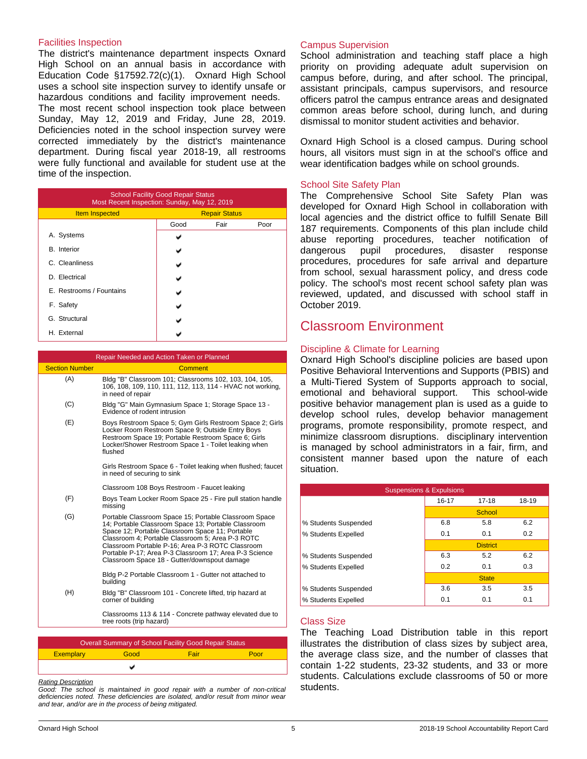#### Facilities Inspection

The district's maintenance department inspects Oxnard High School on an annual basis in accordance with Education Code §17592.72(c)(1). Oxnard High School uses a school site inspection survey to identify unsafe or hazardous conditions and facility improvement needs. The most recent school inspection took place between Sunday, May 12, 2019 and Friday, June 28, 2019. Deficiencies noted in the school inspection survey were corrected immediately by the district's maintenance department. During fiscal year 2018-19, all restrooms were fully functional and available for student use at the time of the inspection.

| <b>School Facility Good Repair Status</b><br>Most Recent Inspection: Sunday, May 12, 2019 |                      |      |      |  |  |
|-------------------------------------------------------------------------------------------|----------------------|------|------|--|--|
| <b>Item Inspected</b>                                                                     | <b>Repair Status</b> |      |      |  |  |
|                                                                                           | Good                 | Fair | Poor |  |  |
| A. Systems                                                                                |                      |      |      |  |  |
| <b>B.</b> Interior                                                                        |                      |      |      |  |  |
| C. Cleanliness                                                                            |                      |      |      |  |  |
| D. Electrical                                                                             |                      |      |      |  |  |
| E. Restrooms / Fountains                                                                  |                      |      |      |  |  |
| F. Safety                                                                                 |                      |      |      |  |  |
| G. Structural                                                                             |                      |      |      |  |  |
| H. External                                                                               |                      |      |      |  |  |

|                       | Repair Needed and Action Taken or Planned                                                                                                                                                                                                                                                                                                                                         |
|-----------------------|-----------------------------------------------------------------------------------------------------------------------------------------------------------------------------------------------------------------------------------------------------------------------------------------------------------------------------------------------------------------------------------|
| <b>Section Number</b> | Comment                                                                                                                                                                                                                                                                                                                                                                           |
| (A)                   | Bldg "B" Classroom 101; Classrooms 102, 103, 104, 105,<br>106, 108, 109, 110, 111, 112, 113, 114 - HVAC not working,<br>in need of repair                                                                                                                                                                                                                                         |
| (C)                   | Bldg "G" Main Gymnasium Space 1; Storage Space 13 -<br>Evidence of rodent intrusion                                                                                                                                                                                                                                                                                               |
| (E)                   | Boys Restroom Space 5; Gym Girls Restroom Space 2; Girls<br>Locker Room Restroom Space 9; Outside Entry Boys<br>Restroom Space 19; Portable Restroom Space 6; Girls<br>Locker/Shower Restroom Space 1 - Toilet leaking when<br>flushed                                                                                                                                            |
|                       | Girls Restroom Space 6 - Toilet leaking when flushed; faucet<br>in need of securing to sink                                                                                                                                                                                                                                                                                       |
|                       | Classroom 108 Boys Restroom - Faucet leaking                                                                                                                                                                                                                                                                                                                                      |
| (F)                   | Boys Team Locker Room Space 25 - Fire pull station handle<br>missing                                                                                                                                                                                                                                                                                                              |
| (G)                   | Portable Classroom Space 15; Portable Classroom Space<br>14; Portable Classroom Space 13; Portable Classroom<br>Space 12; Portable Classroom Space 11; Portable<br>Classroom 4; Portable Classroom 5; Area P-3 ROTC<br>Classroom Portable P-16; Area P-3 ROTC Classroom<br>Portable P-17; Area P-3 Classroom 17; Area P-3 Science<br>Classroom Space 18 - Gutter/downspout damage |
|                       | Bldg P-2 Portable Classroom 1 - Gutter not attached to<br>buildina                                                                                                                                                                                                                                                                                                                |
| (H)                   | Bldg "B" Classroom 101 - Concrete lifted, trip hazard at<br>corner of building                                                                                                                                                                                                                                                                                                    |
|                       | Classrooms 113 & 114 - Concrete pathway elevated due to<br>tree roots (trip hazard)                                                                                                                                                                                                                                                                                               |
|                       |                                                                                                                                                                                                                                                                                                                                                                                   |

| Overall Summary of School Facility Good Repair Status |  |  |  |  |  |
|-------------------------------------------------------|--|--|--|--|--|
| Fair<br><b>Exemplary</b><br>Good<br>Poor              |  |  |  |  |  |
|                                                       |  |  |  |  |  |

#### *Rating Description*

*Good: The school is maintained in good repair with a number of non-critical deficiencies noted. These deficiencies are isolated, and/or result from minor wear and tear, and/or are in the process of being mitigated.*

#### Campus Supervision

School administration and teaching staff place a high priority on providing adequate adult supervision on campus before, during, and after school. The principal, assistant principals, campus supervisors, and resource officers patrol the campus entrance areas and designated common areas before school, during lunch, and during dismissal to monitor student activities and behavior.

Oxnard High School is a closed campus. During school hours, all visitors must sign in at the school's office and wear identification badges while on school grounds.

#### School Site Safety Plan

The Comprehensive School Site Safety Plan was developed for Oxnard High School in collaboration with local agencies and the district office to fulfill Senate Bill 187 requirements. Components of this plan include child abuse reporting procedures, teacher notification of dangerous pupil procedures, disaster response procedures, procedures for safe arrival and departure from school, sexual harassment policy, and dress code policy. The school's most recent school safety plan was reviewed, updated, and discussed with school staff in October 2019.

### Classroom Environment

### Discipline & Climate for Learning

Oxnard High School's discipline policies are based upon Positive Behavioral Interventions and Supports (PBIS) and a Multi-Tiered System of Supports approach to social, emotional and behavioral support. This school-wide positive behavior management plan is used as a guide to develop school rules, develop behavior management programs, promote responsibility, promote respect, and minimize classroom disruptions. disciplinary intervention is managed by school administrators in a fair, firm, and consistent manner based upon the nature of each situation.

| <b>Suspensions &amp; Expulsions</b> |           |                 |       |  |  |
|-------------------------------------|-----------|-----------------|-------|--|--|
|                                     | $16 - 17$ | $17 - 18$       | 18-19 |  |  |
|                                     |           | School          |       |  |  |
| % Students Suspended                | 6.8       | 5.8             | 6.2   |  |  |
| % Students Expelled                 | 0.1       | 0.1             | 0.2   |  |  |
|                                     |           | <b>District</b> |       |  |  |
| % Students Suspended                | 6.3       | 5.2             | 6.2   |  |  |
| % Students Expelled                 | 0.2       | 0.1             | 0.3   |  |  |
|                                     |           | <b>State</b>    |       |  |  |
| % Students Suspended                | 3.6       | 3.5             | 3.5   |  |  |
| % Students Expelled                 | 0.1       | 0.1             | 0.1   |  |  |

### Class Size

The Teaching Load Distribution table in this report illustrates the distribution of class sizes by subject area, the average class size, and the number of classes that contain 1-22 students, 23-32 students, and 33 or more students. Calculations exclude classrooms of 50 or more students.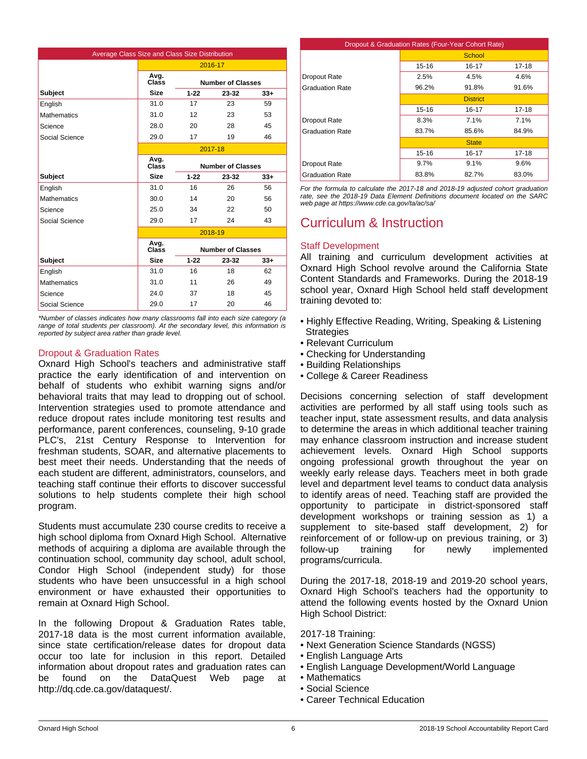| Average Class Size and Class Size Distribution |               |          |                          |       |  |
|------------------------------------------------|---------------|----------|--------------------------|-------|--|
|                                                | 2016-17       |          |                          |       |  |
|                                                | Avg.<br>Class |          | <b>Number of Classes</b> |       |  |
| <b>Subject</b>                                 | <b>Size</b>   | $1 - 22$ | 23-32                    | $33+$ |  |
| English                                        | 31.0          | 17       | 23                       | 59    |  |
| <b>Mathematics</b>                             | 31.0          | 12       | 23                       | 53    |  |
| Science                                        | 28.0          | 20       | 28                       | 45    |  |
| Social Science                                 | 29.0          | 17       | 19                       | 46    |  |
|                                                |               | 2017-18  |                          |       |  |
|                                                | Avg.<br>Class |          | <b>Number of Classes</b> |       |  |
| Subject                                        | <b>Size</b>   | $1 - 22$ | 23-32                    | $33+$ |  |
| English                                        | 31.0          | 16       | 26                       | 56    |  |
| <b>Mathematics</b>                             | 30.0          | 14       | 20                       | 56    |  |
| Science                                        | 25.0          | 34       | 22                       | 50    |  |
| Social Science                                 | 29.0          | 17       | 24                       | 43    |  |
|                                                |               |          | 2018-19                  |       |  |
|                                                | Avg.<br>Class |          | <b>Number of Classes</b> |       |  |
| Subject                                        | <b>Size</b>   | $1 - 22$ | 23-32                    | $33+$ |  |
| English                                        | 31.0          | 16       | 18                       | 62    |  |
| <b>Mathematics</b>                             | 31.0          | 11       | 26                       | 49    |  |
| Science                                        | 24.0          | 37       | 18                       | 45    |  |
| Social Science                                 | 29.0          | 17       | 20                       | 46    |  |

*\*Number of classes indicates how many classrooms fall into each size category (a range of total students per classroom). At the secondary level, this information is reported by subject area rather than grade level.*

### Dropout & Graduation Rates

Oxnard High School's teachers and administrative staff practice the early identification of and intervention on behalf of students who exhibit warning signs and/or behavioral traits that may lead to dropping out of school. Intervention strategies used to promote attendance and reduce dropout rates include monitoring test results and performance, parent conferences, counseling, 9-10 grade PLC's, 21st Century Response to Intervention for freshman students, SOAR, and alternative placements to best meet their needs. Understanding that the needs of each student are different, administrators, counselors, and teaching staff continue their efforts to discover successful solutions to help students complete their high school program.

Students must accumulate 230 course credits to receive a high school diploma from Oxnard High School. Alternative methods of acquiring a diploma are available through the continuation school, community day school, adult school, Condor High School (independent study) for those students who have been unsuccessful in a high school environment or have exhausted their opportunities to remain at Oxnard High School.

In the following Dropout & Graduation Rates table, 2017-18 data is the most current information available, since state certification/release dates for dropout data occur too late for inclusion in this report. Detailed information about dropout rates and graduation rates can be found on the DataQuest Web page at http://dq.cde.ca.gov/dataquest/.

| Dropout & Graduation Rates (Four-Year Cohort Rate) |                         |              |       |  |
|----------------------------------------------------|-------------------------|--------------|-------|--|
|                                                    | School                  |              |       |  |
|                                                    | 15-16                   | 16-17        | 17-18 |  |
| <b>Dropout Rate</b>                                | 2.5%                    | 4.5%         | 4.6%  |  |
| <b>Graduation Rate</b>                             | 96.2%<br>91.8%<br>91.6% |              |       |  |
|                                                    | <b>District</b>         |              |       |  |
|                                                    | 15-16                   | 16-17        | 17-18 |  |
| Dropout Rate                                       | 8.3%                    | 7.1%         | 7.1%  |  |
| <b>Graduation Rate</b>                             | 83.7%<br>85.6%          |              | 84.9% |  |
|                                                    |                         | <b>State</b> |       |  |
|                                                    | 15-16                   | $16 - 17$    | 17-18 |  |
| Dropout Rate                                       | 9.7%                    | $9.1\%$      | 9.6%  |  |
| <b>Graduation Rate</b>                             | 83.8%                   | 82.7%        | 83.0% |  |

*For the formula to calculate the 2017-18 and 2018-19 adjusted cohort graduation rate, see the 2018-19 Data Element Definitions document located on the SARC web page at https://www.cde.ca.gov/ta/ac/sa/*

### Curriculum & Instruction

### Staff Development

All training and curriculum development activities at Oxnard High School revolve around the California State Content Standards and Frameworks. During the 2018-19 school year, Oxnard High School held staff development training devoted to:

- Highly Effective Reading, Writing, Speaking & Listening **Strategies**
- Relevant Curriculum
- Checking for Understanding
- Building Relationships
- College & Career Readiness

Decisions concerning selection of staff development activities are performed by all staff using tools such as teacher input, state assessment results, and data analysis to determine the areas in which additional teacher training may enhance classroom instruction and increase student achievement levels. Oxnard High School supports ongoing professional growth throughout the year on weekly early release days. Teachers meet in both grade level and department level teams to conduct data analysis to identify areas of need. Teaching staff are provided the opportunity to participate in district-sponsored staff development workshops or training session as 1) a supplement to site-based staff development, 2) for reinforcement of or follow-up on previous training, or 3) follow-up training for newly implemented programs/curricula.

During the 2017-18, 2018-19 and 2019-20 school years, Oxnard High School's teachers had the opportunity to attend the following events hosted by the Oxnard Union High School District:

2017-18 Training:

- Next Generation Science Standards (NGSS)
- English Language Arts
- English Language Development/World Language
- Mathematics
- Social Science
- Career Technical Education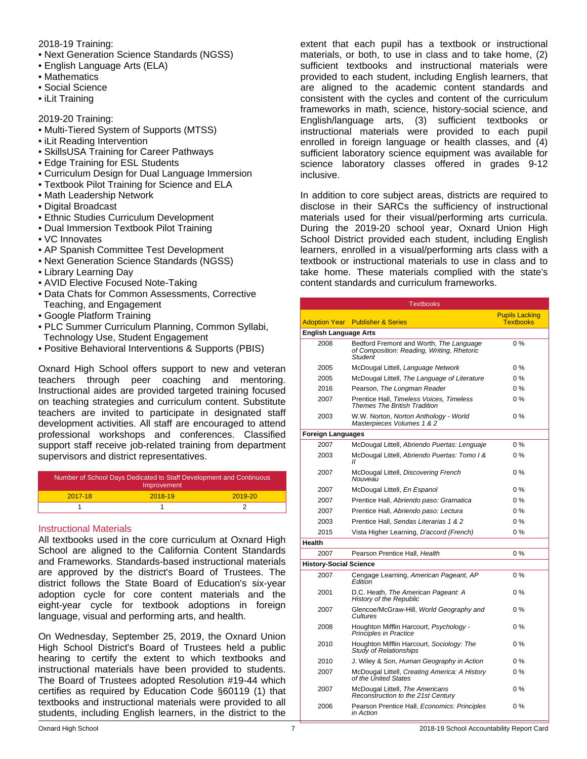2018-19 Training:

- Next Generation Science Standards (NGSS)
- English Language Arts (ELA)
- Mathematics
- Social Science
- iLit Training

2019-20 Training:

- Multi-Tiered System of Supports (MTSS)
- iLit Reading Intervention
- SkillsUSA Training for Career Pathways
- Edge Training for ESL Students
- Curriculum Design for Dual Language Immersion
- Textbook Pilot Training for Science and ELA
- Math Leadership Network
- Digital Broadcast
- Ethnic Studies Curriculum Development
- Dual Immersion Textbook Pilot Training
- VC Innovates
- AP Spanish Committee Test Development
- Next Generation Science Standards (NGSS)
- Library Learning Day
- AVID Elective Focused Note-Taking
- Data Chats for Common Assessments, Corrective Teaching, and Engagement
- Google Platform Training
- PLC Summer Curriculum Planning, Common Syllabi, Technology Use, Student Engagement
- Positive Behavioral Interventions & Supports (PBIS)

Oxnard High School offers support to new and veteran teachers through peer coaching and mentoring. Instructional aides are provided targeted training focused on teaching strategies and curriculum content. Substitute teachers are invited to participate in designated staff development activities. All staff are encouraged to attend professional workshops and conferences. Classified support staff receive job-related training from department supervisors and district representatives.

| Number of School Days Dedicated to Staff Development and Continuous<br>Improvement |         |         |  |
|------------------------------------------------------------------------------------|---------|---------|--|
| $2017 - 18$                                                                        | 2018-19 | 2019-20 |  |
|                                                                                    |         |         |  |

#### Instructional Materials

All textbooks used in the core curriculum at Oxnard High School are aligned to the California Content Standards and Frameworks. Standards-based instructional materials are approved by the district's Board of Trustees. The district follows the State Board of Education's six-year adoption cycle for core content materials and the eight-year cycle for textbook adoptions in foreign language, visual and performing arts, and health.

On Wednesday, September 25, 2019, the Oxnard Union High School District's Board of Trustees held a public hearing to certify the extent to which textbooks and instructional materials have been provided to students. The Board of Trustees adopted Resolution #19-44 which certifies as required by Education Code §60119 (1) that textbooks and instructional materials were provided to all students, including English learners, in the district to the

extent that each pupil has a textbook or instructional materials, or both, to use in class and to take home, (2) sufficient textbooks and instructional materials were provided to each student, including English learners, that are aligned to the academic content standards and consistent with the cycles and content of the curriculum frameworks in math, science, history-social science, and English/language arts, (3) sufficient textbooks or instructional materials were provided to each pupil enrolled in foreign language or health classes, and (4) sufficient laboratory science equipment was available for science laboratory classes offered in grades 9-12 inclusive.

In addition to core subject areas, districts are required to disclose in their SARCs the sufficiency of instructional materials used for their visual/performing arts curricula. During the 2019-20 school year, Oxnard Union High School District provided each student, including English learners, enrolled in a visual/performing arts class with a textbook or instructional materials to use in class and to take home. These materials complied with the state's content standards and curriculum frameworks.

| <b>Textbooks</b>              |                                                                                                  |                                           |  |  |  |
|-------------------------------|--------------------------------------------------------------------------------------------------|-------------------------------------------|--|--|--|
| <b>Adoption Year</b>          | <b>Publisher &amp; Series</b>                                                                    | <b>Pupils Lacking</b><br><b>Textbooks</b> |  |  |  |
| <b>English Language Arts</b>  |                                                                                                  |                                           |  |  |  |
| 2008                          | Bedford Fremont and Worth, The Language<br>of Composition: Reading, Writing, Rhetoric<br>Student | 0%                                        |  |  |  |
| 2005                          | McDougal Littell, Language Network                                                               | 0%                                        |  |  |  |
| 2005                          | McDougal Littell, The Language of Literature                                                     | $0\%$                                     |  |  |  |
| 2016                          | Pearson, The Longman Reader                                                                      | $0\%$                                     |  |  |  |
| 2007                          | Prentice Hall, Timeless Voices, Timeless<br><b>Themes The British Tradition</b>                  | 0%                                        |  |  |  |
| 2003                          | W.W. Norton, Norton Anthology - World<br>Masterpieces Volumes 1 & 2                              | $0\%$                                     |  |  |  |
| <b>Foreign Languages</b>      |                                                                                                  |                                           |  |  |  |
| 2007                          | McDougal Littell, Abriendo Puertas: Lenguaje                                                     | $0\%$                                     |  |  |  |
| 2003                          | McDougal Littell, Abriendo Puertas: Tomo I &                                                     | $0\%$                                     |  |  |  |
| 2007                          | McDougal Littell, Discovering French<br>Nouveau                                                  | 0%                                        |  |  |  |
| 2007                          | McDougal Littell, En Espanol                                                                     | 0%                                        |  |  |  |
| 2007                          | Prentice Hall, Abriendo paso: Gramatica                                                          | 0%                                        |  |  |  |
| 2007                          | Prentice Hall, Abriendo paso: Lectura                                                            | $0\%$                                     |  |  |  |
| 2003                          | Prentice Hall, Sendas Literarias 1 & 2                                                           | $0\%$                                     |  |  |  |
| 2015                          | Vista Higher Learning, D'accord (French)                                                         | $0\%$                                     |  |  |  |
| <b>Health</b>                 |                                                                                                  |                                           |  |  |  |
| 2007                          | Pearson Prentice Hall, Health                                                                    | $0\%$                                     |  |  |  |
| <b>History-Social Science</b> |                                                                                                  |                                           |  |  |  |
| 2007                          | Cengage Learning, American Pageant, AP<br>Edition                                                | $0\%$                                     |  |  |  |
| 2001                          | D.C. Heath, The American Pageant: A<br>History of the Republic                                   | $0\%$                                     |  |  |  |
| 2007                          | Glencoe/McGraw-Hill, World Geography and<br>Cultures                                             | 0%                                        |  |  |  |
| 2008                          | Houghton Mifflin Harcourt, Psychology -<br>Principles in Practice                                | $0\%$                                     |  |  |  |
| 2010                          | Houghton Mifflin Harcourt, Sociology: The<br>Study of Relationships                              | 0%                                        |  |  |  |
| 2010                          | J. Wiley & Son, Human Geography in Action                                                        | $0\%$                                     |  |  |  |
| 2007                          | McDougal Littell, Creating America: A History<br>of the United States                            | 0%                                        |  |  |  |
| 2007                          | McDougal Littell, The Americans<br>Reconstruction to the 21st Century                            | $0\%$                                     |  |  |  |
| 2006                          | Pearson Prentice Hall, Economics: Principles<br>in Action                                        | $0\%$                                     |  |  |  |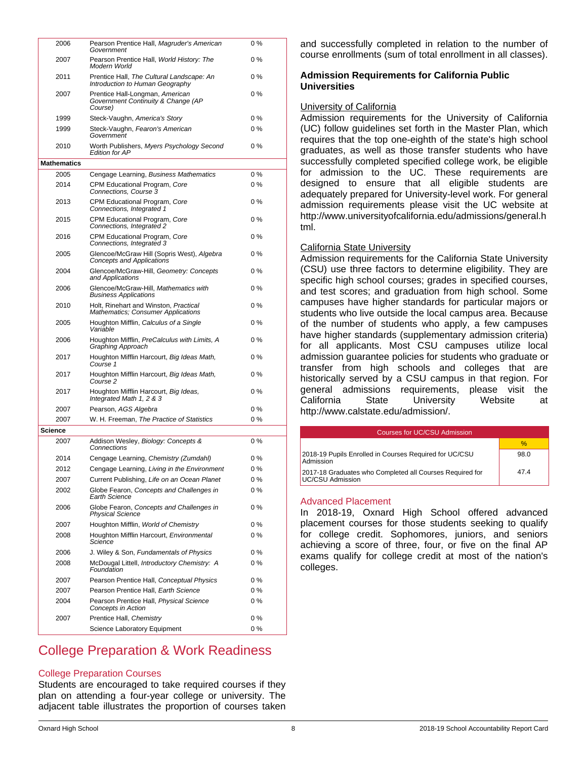| 2006               | Pearson Prentice Hall, Magruder's American<br>Government                           | 0%    |
|--------------------|------------------------------------------------------------------------------------|-------|
| 2007               | Pearson Prentice Hall, World History: The<br>Modern World                          | $0\%$ |
| 2011               | Prentice Hall, The Cultural Landscape: An<br>Introduction to Human Geography       | $0\%$ |
| 2007               | Prentice Hall-Longman, American<br>Government Continuity & Change (AP<br>Course)   | $0\%$ |
| 1999               | Steck-Vaughn, America's Story                                                      | $0\%$ |
| 1999               | Steck-Vaughn, Fearon's American<br>Government                                      | $0\%$ |
| 2010               | Worth Publishers, Myers Psychology Second<br><b>Edition for AP</b>                 | $0\%$ |
| <b>Mathematics</b> |                                                                                    |       |
| 2005               | Cengage Learning, Business Mathematics                                             | $0\%$ |
| 2014               | CPM Educational Program, Core<br>Connections, Course 3                             | $0\%$ |
| 2013               | CPM Educational Program, Core<br>Connections, Integrated 1                         | $0\%$ |
| 2015               | CPM Educational Program, Core<br>Connections, Integrated 2                         | $0\%$ |
| 2016               | CPM Educational Program, Core<br>Connections, Integrated 3                         | $0\%$ |
| 2005               | Glencoe/McGraw Hill (Sopris West), Algebra<br><b>Concepts and Applications</b>     | $0\%$ |
| 2004               | Glencoe/McGraw-Hill, Geometry: Concepts<br>and Applications                        | $0\%$ |
| 2006               | Glencoe/McGraw-Hill, Mathematics with<br><b>Business Applications</b>              | $0\%$ |
| 2010               | Holt, Rinehart and Winston, Practical<br><b>Mathematics; Consumer Applications</b> | $0\%$ |
| 2005               | Houghton Mifflin, Calculus of a Single<br>Variable                                 | $0\%$ |
| 2006               | Houghton Mifflin, PreCalculus with Limits, A<br>Graphing Approach                  | $0\%$ |
| 2017               | Houghton Mifflin Harcourt, Big Ideas Math,<br>Course 1                             | $0\%$ |
| 2017               | Houghton Mifflin Harcourt, Big Ideas Math,<br>Course 2                             | $0\%$ |
| 2017               | Houghton Mifflin Harcourt, Big Ideas,<br>Integrated Math 1, 2 & 3                  | $0\%$ |
| 2007               | Pearson, AGS Algebra                                                               | $0\%$ |
| 2007               | W. H. Freeman, The Practice of Statistics                                          | $0\%$ |
| Science            |                                                                                    |       |
| 2007               | Addison Wesley, Biology: Concepts &<br>Connections                                 | $0\%$ |
| 2014               | Cengage Learning, Chemistry (Zumdahl)                                              | $0\%$ |
| 2012               | Cengage Learning, Living in the Environment                                        | 0 %   |
| 2007               | Current Publishing, Life on an Ocean Planet                                        | 0%    |
| 2002               | Globe Fearon, Concepts and Challenges in<br><b>Earth Science</b>                   | 0%    |
| 2006               | Globe Fearon, Concepts and Challenges in<br><b>Physical Science</b>                | 0%    |
| 2007               | Houghton Mifflin, World of Chemistry                                               | $0\%$ |
| 2008               | Houghton Mifflin Harcourt, Environmental<br>Science                                | 0%    |
| 2006               | J. Wiley & Son, Fundamentals of Physics                                            | 0%    |
| 2008               | McDougal Littell, Introductory Chemistry: A<br>Foundation                          | 0%    |
| 2007               | Pearson Prentice Hall, Conceptual Physics                                          | 0%    |
| 2007               | Pearson Prentice Hall, Earth Science                                               | $0\%$ |
| 2004               | Pearson Prentice Hall, Physical Science<br>Concepts in Action                      | 0%    |
| 2007               | Prentice Hall, Chemistry                                                           | 0%    |
|                    | Science Laboratory Equipment                                                       | 0%    |
|                    |                                                                                    |       |

## College Preparation & Work Readiness

### College Preparation Courses

Students are encouraged to take required courses if they plan on attending a four-year college or university. The adjacent table illustrates the proportion of courses taken and successfully completed in relation to the number of course enrollments (sum of total enrollment in all classes).

### **Admission Requirements for California Public Universities**

### University of California

Admission requirements for the University of California (UC) follow guidelines set forth in the Master Plan, which requires that the top one-eighth of the state's high school graduates, as well as those transfer students who have successfully completed specified college work, be eligible for admission to the UC. These requirements are designed to ensure that all eligible students are adequately prepared for University-level work. For general admission requirements please visit the UC website at http://www.universityofcalifornia.edu/admissions/general.h tml.

### California State University

Admission requirements for the California State University (CSU) use three factors to determine eligibility. They are specific high school courses; grades in specified courses, and test scores; and graduation from high school. Some campuses have higher standards for particular majors or students who live outside the local campus area. Because of the number of students who apply, a few campuses have higher standards (supplementary admission criteria) for all applicants. Most CSU campuses utilize local admission guarantee policies for students who graduate or transfer from high schools and colleges that are historically served by a CSU campus in that region. For general admissions requirements, please visit the<br>California State University Website at California State University Website at http://www.calstate.edu/admission/.

| Courses for UC/CSU Admission                                                 |      |  |  |
|------------------------------------------------------------------------------|------|--|--|
|                                                                              | $\%$ |  |  |
| 2018-19 Pupils Enrolled in Courses Required for UC/CSU<br>Admission          | 98.0 |  |  |
| 2017-18 Graduates who Completed all Courses Required for<br>UC/CSU Admission | 474  |  |  |

### Advanced Placement

In 2018-19, Oxnard High School offered advanced placement courses for those students seeking to qualify for college credit. Sophomores, juniors, and seniors achieving a score of three, four, or five on the final AP exams qualify for college credit at most of the nation's colleges.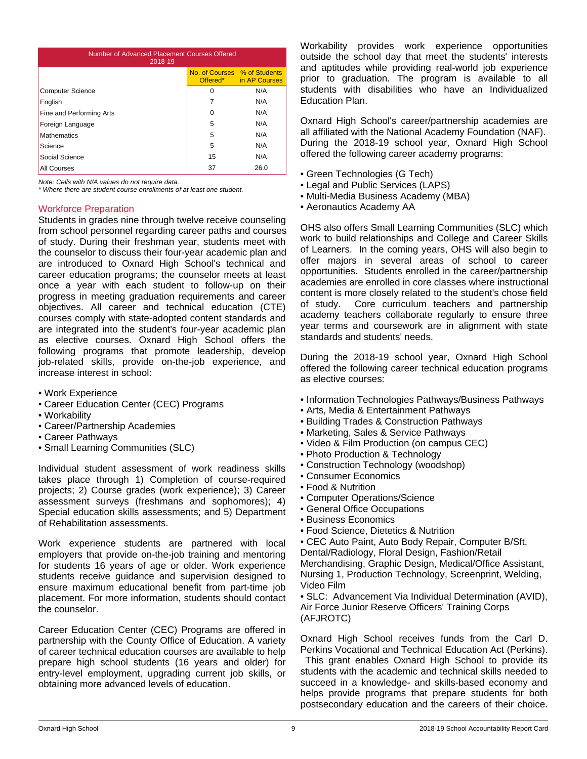| Number of Advanced Placement Courses Offered<br>2018-19 |                              |                                    |  |  |
|---------------------------------------------------------|------------------------------|------------------------------------|--|--|
|                                                         | No. of Courses % of Students | Offered <sup>*</sup> in AP Courses |  |  |
| <b>Computer Science</b>                                 | 0                            | N/A                                |  |  |
| English                                                 | 7                            | N/A                                |  |  |
| Fine and Performing Arts                                | 0                            | N/A                                |  |  |
| Foreign Language                                        | 5                            | N/A                                |  |  |
| <b>Mathematics</b>                                      | 5                            | N/A                                |  |  |
| Science                                                 | 5                            | N/A                                |  |  |
| Social Science                                          | 15                           | N/A                                |  |  |
| All Courses                                             | 37                           | 26.0                               |  |  |

*Note: Cells with N/A values do not require data.*

*\* Where there are student course enrollments of at least one student.*

#### Workforce Preparation

Students in grades nine through twelve receive counseling from school personnel regarding career paths and courses of study. During their freshman year, students meet with the counselor to discuss their four-year academic plan and are introduced to Oxnard High School's technical and career education programs; the counselor meets at least once a year with each student to follow-up on their progress in meeting graduation requirements and career objectives. All career and technical education (CTE) courses comply with state-adopted content standards and are integrated into the student's four-year academic plan as elective courses. Oxnard High School offers the following programs that promote leadership, develop job-related skills, provide on-the-job experience, and increase interest in school:

- Work Experience
- Career Education Center (CEC) Programs
- Workability
- Career/Partnership Academies
- Career Pathways
- Small Learning Communities (SLC)

Individual student assessment of work readiness skills takes place through 1) Completion of course-required projects; 2) Course grades (work experience); 3) Career assessment surveys (freshmans and sophomores); 4) Special education skills assessments; and 5) Department of Rehabilitation assessments.

Work experience students are partnered with local employers that provide on-the-job training and mentoring for students 16 years of age or older. Work experience students receive guidance and supervision designed to ensure maximum educational benefit from part-time job placement. For more information, students should contact the counselor.

Career Education Center (CEC) Programs are offered in partnership with the County Office of Education. A variety of career technical education courses are available to help prepare high school students (16 years and older) for entry-level employment, upgrading current job skills, or obtaining more advanced levels of education.

Workability provides work experience opportunities outside the school day that meet the students' interests and aptitudes while providing real-world job experience prior to graduation. The program is available to all students with disabilities who have an Individualized Education Plan.

Oxnard High School's career/partnership academies are all affiliated with the National Academy Foundation (NAF). During the 2018-19 school year, Oxnard High School offered the following career academy programs:

- Green Technologies (G Tech)
- Legal and Public Services (LAPS)
- Multi-Media Business Academy (MBA)
- Aeronautics Academy AA

OHS also offers Small Learning Communities (SLC) which work to build relationships and College and Career Skills of Learners. In the coming years, OHS will also begin to offer majors in several areas of school to career opportunities. Students enrolled in the career/partnership academies are enrolled in core classes where instructional content is more closely related to the student's chose field of study. Core curriculum teachers and partnership academy teachers collaborate regularly to ensure three year terms and coursework are in alignment with state standards and students' needs.

During the 2018-19 school year, Oxnard High School offered the following career technical education programs as elective courses:

- Information Technologies Pathways/Business Pathways
- Arts, Media & Entertainment Pathways
- Building Trades & Construction Pathways
- Marketing, Sales & Service Pathways
- Video & Film Production (on campus CEC)
- Photo Production & Technology
- Construction Technology (woodshop)
- Consumer Economics
- Food & Nutrition
- Computer Operations/Science
- General Office Occupations
- Business Economics
- Food Science, Dietetics & Nutrition

• CEC Auto Paint, Auto Body Repair, Computer B/Sft,

Dental/Radiology, Floral Design, Fashion/Retail Merchandising, Graphic Design, Medical/Office Assistant, Nursing 1, Production Technology, Screenprint, Welding, Video Film

• SLC: Advancement Via Individual Determination (AVID), Air Force Junior Reserve Officers' Training Corps (AFJROTC)

Oxnard High School receives funds from the Carl D. Perkins Vocational and Technical Education Act (Perkins).

 This grant enables Oxnard High School to provide its students with the academic and technical skills needed to succeed in a knowledge- and skills-based economy and helps provide programs that prepare students for both postsecondary education and the careers of their choice.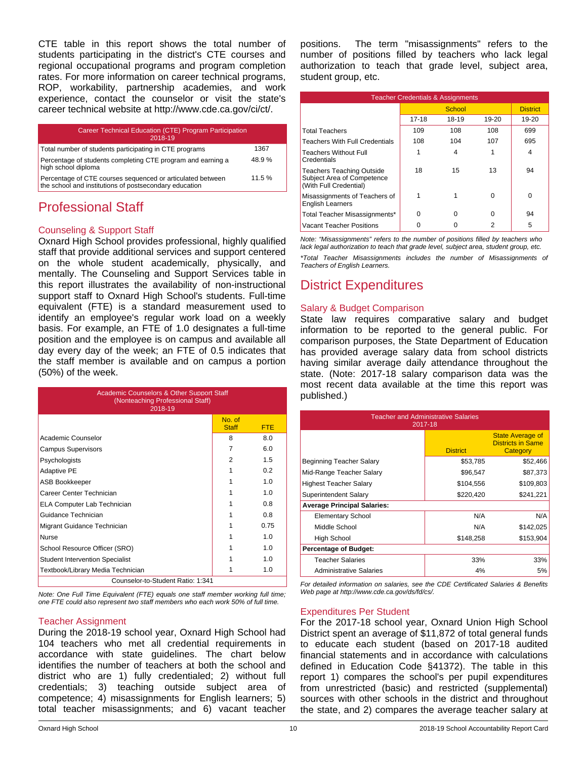CTE table in this report shows the total number of students participating in the district's CTE courses and regional occupational programs and program completion rates. For more information on career technical programs, ROP, workability, partnership academies, and work experience, contact the counselor or visit the state's career technical website at http://www.cde.ca.gov/ci/ct/.

| Career Technical Education (CTE) Program Participation<br>2018-19                                                    |       |
|----------------------------------------------------------------------------------------------------------------------|-------|
| Total number of students participating in CTE programs                                                               | 1367  |
| Percentage of students completing CTE program and earning a<br>high school diploma                                   | 48.9% |
| Percentage of CTE courses sequenced or articulated between<br>the school and institutions of postsecondary education | 11.5% |

## Professional Staff

### Counseling & Support Staff

Oxnard High School provides professional, highly qualified staff that provide additional services and support centered on the whole student academically, physically, and mentally. The Counseling and Support Services table in this report illustrates the availability of non-instructional support staff to Oxnard High School's students. Full-time equivalent (FTE) is a standard measurement used to identify an employee's regular work load on a weekly basis. For example, an FTE of 1.0 designates a full-time position and the employee is on campus and available all day every day of the week; an FTE of 0.5 indicates that the staff member is available and on campus a portion (50%) of the week.

| <b>Academic Counselors &amp; Other Support Staff</b><br>(Nonteaching Professional Staff)<br>2018-19 |                        |                |  |  |
|-----------------------------------------------------------------------------------------------------|------------------------|----------------|--|--|
|                                                                                                     | No. of<br><b>Staff</b> | <b>FTE</b>     |  |  |
| Academic Counselor                                                                                  | 8                      | 8.0            |  |  |
| <b>Campus Supervisors</b>                                                                           | 7                      | 60             |  |  |
| Psychologists                                                                                       | 2                      | 1.5            |  |  |
| <b>Adaptive PE</b>                                                                                  |                        | 02             |  |  |
| <b>ASB Bookkeeper</b>                                                                               |                        | 1.0            |  |  |
| Career Center Technician                                                                            |                        | 1 <sub>0</sub> |  |  |
| <b>ELA Computer Lab Technician</b>                                                                  |                        | 0.8            |  |  |
| Guidance Technician                                                                                 |                        | 0.8            |  |  |
| Migrant Guidance Technician                                                                         |                        | 0.75           |  |  |
| <b>Nurse</b>                                                                                        |                        | 1 <sub>0</sub> |  |  |
| School Resource Officer (SRO)                                                                       |                        | 1.0            |  |  |
| <b>Student Intervention Specialist</b>                                                              |                        | 1.0            |  |  |
| Textbook/Library Media Technician                                                                   |                        | 1.0            |  |  |
| Counselor-to-Student Ratio: 1:341                                                                   |                        |                |  |  |

*Note: One Full Time Equivalent (FTE) equals one staff member working full time; one FTE could also represent two staff members who each work 50% of full time.*

### Teacher Assignment

During the 2018-19 school year, Oxnard High School had 104 teachers who met all credential requirements in accordance with state guidelines. The chart below identifies the number of teachers at both the school and district who are 1) fully credentialed; 2) without full credentials; 3) teaching outside subject area of competence; 4) misassignments for English learners; 5) total teacher misassignments; and 6) vacant teacher

positions. The term "misassignments" refers to the number of positions filled by teachers who lack legal authorization to teach that grade level, subject area, student group, etc.

| <b>Teacher Credentials &amp; Assignments</b>                                             |       |        |       |                 |  |
|------------------------------------------------------------------------------------------|-------|--------|-------|-----------------|--|
|                                                                                          |       | School |       | <b>District</b> |  |
|                                                                                          | 17-18 | 18-19  | 19-20 | $19 - 20$       |  |
| <b>Total Teachers</b>                                                                    | 109   | 108    | 108   | 699             |  |
| <b>Teachers With Full Credentials</b>                                                    | 108   | 104    | 107   | 695             |  |
| <b>Teachers Without Full</b><br>Credentials                                              |       | 4      |       | 4               |  |
| <b>Teachers Teaching Outside</b><br>Subject Area of Competence<br>(With Full Credential) | 18    | 15     | 13    | 94              |  |
| Misassignments of Teachers of<br><b>English Learners</b>                                 |       |        | 0     | 0               |  |
| Total Teacher Misassignments*                                                            | ŋ     | ŋ      | U     | 94              |  |
| Vacant Teacher Positions                                                                 |       |        | 2     | 5               |  |

*Note: "Misassignments" refers to the number of positions filled by teachers who lack legal authorization to teach that grade level, subject area, student group, etc. \*Total Teacher Misassignments includes the number of Misassignments of Teachers of English Learners.*

## District Expenditures

### Salary & Budget Comparison

State law requires comparative salary and budget information to be reported to the general public. For comparison purposes, the State Department of Education has provided average salary data from school districts having similar average daily attendance throughout the state. (Note: 2017-18 salary comparison data was the most recent data available at the time this report was published.)

| <b>Teacher and Administrative Salaries</b><br>2017-18 |                 |                                                                 |  |  |  |
|-------------------------------------------------------|-----------------|-----------------------------------------------------------------|--|--|--|
|                                                       | <b>District</b> | <b>State Average of</b><br><b>Districts in Same</b><br>Category |  |  |  |
| Beginning Teacher Salary                              | \$53,785        | \$52,466                                                        |  |  |  |
| Mid-Range Teacher Salary                              | \$96,547        | \$87,373                                                        |  |  |  |
| <b>Highest Teacher Salary</b>                         | \$104,556       | \$109,803                                                       |  |  |  |
| Superintendent Salary                                 | \$220,420       | \$241,221                                                       |  |  |  |
| <b>Average Principal Salaries:</b>                    |                 |                                                                 |  |  |  |
| <b>Elementary School</b>                              | N/A             | N/A                                                             |  |  |  |
| Middle School                                         | N/A             | \$142,025                                                       |  |  |  |
| High School                                           | \$148,258       | \$153,904                                                       |  |  |  |
| <b>Percentage of Budget:</b>                          |                 |                                                                 |  |  |  |
| Teacher Salaries                                      | 33%             | 33%                                                             |  |  |  |
| <b>Administrative Salaries</b>                        | 4%              | 5%                                                              |  |  |  |

*For detailed information on salaries, see the CDE Certificated Salaries & Benefits Web page at http://www.cde.ca.gov/ds/fd/cs/.*

### Expenditures Per Student

For the 2017-18 school year, Oxnard Union High School District spent an average of \$11,872 of total general funds to educate each student (based on 2017-18 audited financial statements and in accordance with calculations defined in Education Code §41372). The table in this report 1) compares the school's per pupil expenditures from unrestricted (basic) and restricted (supplemental) sources with other schools in the district and throughout the state, and 2) compares the average teacher salary at